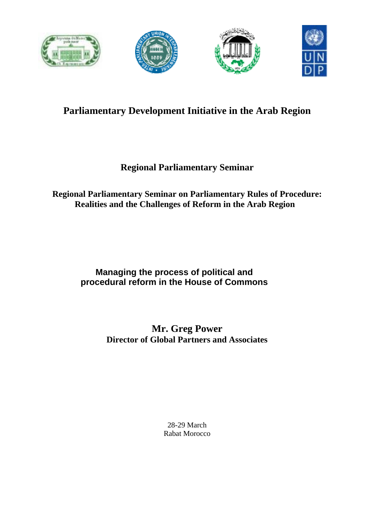

# **Parliamentary Development Initiative in the Arab Region**

## **Regional Parliamentary Seminar**

## **Regional Parliamentary Seminar on Parliamentary Rules of Procedure: Realities and the Challenges of Reform in the Arab Region**

## **Managing the process of political and procedural reform in the House of Commons**

## **Mr. Greg Power Director of Global Partners and Associates**

28-29 March Rabat Morocco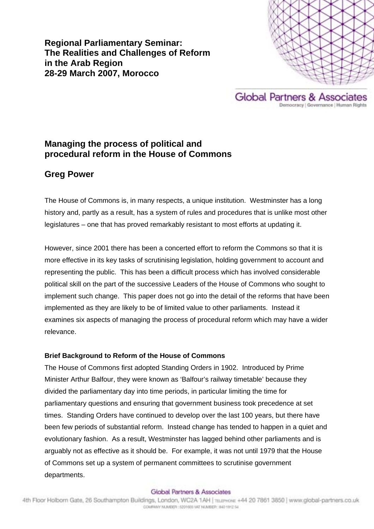**Regional Parliamentary Seminar: The Realities and Challenges of Reform in the Arab Region 28-29 March 2007, Morocco** 





## **Managing the process of political and procedural reform in the House of Commons**

## **Greg Power**

The House of Commons is, in many respects, a unique institution. Westminster has a long history and, partly as a result, has a system of rules and procedures that is unlike most other legislatures – one that has proved remarkably resistant to most efforts at updating it.

However, since 2001 there has been a concerted effort to reform the Commons so that it is more effective in its key tasks of scrutinising legislation, holding government to account and representing the public. This has been a difficult process which has involved considerable political skill on the part of the successive Leaders of the House of Commons who sought to implement such change. This paper does not go into the detail of the reforms that have been implemented as they are likely to be of limited value to other parliaments. Instead it examines six aspects of managing the process of procedural reform which may have a wider relevance.

## **Brief Background to Reform of the House of Commons**

The House of Commons first adopted Standing Orders in 1902. Introduced by Prime Minister Arthur Balfour, they were known as 'Balfour's railway timetable' because they divided the parliamentary day into time periods, in particular limiting the time for parliamentary questions and ensuring that government business took precedence at set times. Standing Orders have continued to develop over the last 100 years, but there have been few periods of substantial reform. Instead change has tended to happen in a quiet and evolutionary fashion. As a result, Westminster has lagged behind other parliaments and is arguably not as effective as it should be. For example, it was not until 1979 that the House of Commons set up a system of permanent committees to scrutinise government departments.

#### Global Partners & Associates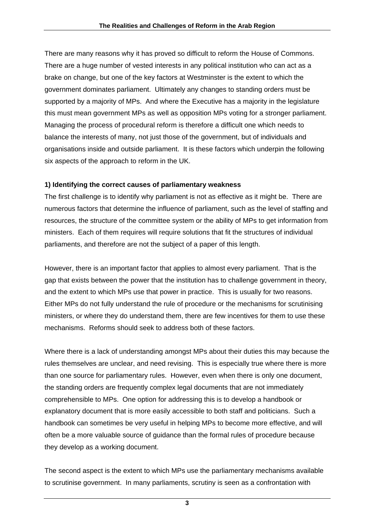There are many reasons why it has proved so difficult to reform the House of Commons. There are a huge number of vested interests in any political institution who can act as a brake on change, but one of the key factors at Westminster is the extent to which the government dominates parliament. Ultimately any changes to standing orders must be supported by a majority of MPs. And where the Executive has a majority in the legislature this must mean government MPs as well as opposition MPs voting for a stronger parliament. Managing the process of procedural reform is therefore a difficult one which needs to balance the interests of many, not just those of the government, but of individuals and organisations inside and outside parliament. It is these factors which underpin the following six aspects of the approach to reform in the UK.

### **1) Identifying the correct causes of parliamentary weakness**

The first challenge is to identify why parliament is not as effective as it might be. There are numerous factors that determine the influence of parliament, such as the level of staffing and resources, the structure of the committee system or the ability of MPs to get information from ministers. Each of them requires will require solutions that fit the structures of individual parliaments, and therefore are not the subject of a paper of this length.

However, there is an important factor that applies to almost every parliament. That is the gap that exists between the power that the institution has to challenge government in theory, and the extent to which MPs use that power in practice. This is usually for two reasons. Either MPs do not fully understand the rule of procedure or the mechanisms for scrutinising ministers, or where they do understand them, there are few incentives for them to use these mechanisms. Reforms should seek to address both of these factors.

Where there is a lack of understanding amongst MPs about their duties this may because the rules themselves are unclear, and need revising. This is especially true where there is more than one source for parliamentary rules. However, even when there is only one document, the standing orders are frequently complex legal documents that are not immediately comprehensible to MPs. One option for addressing this is to develop a handbook or explanatory document that is more easily accessible to both staff and politicians. Such a handbook can sometimes be very useful in helping MPs to become more effective, and will often be a more valuable source of guidance than the formal rules of procedure because they develop as a working document.

The second aspect is the extent to which MPs use the parliamentary mechanisms available to scrutinise government. In many parliaments, scrutiny is seen as a confrontation with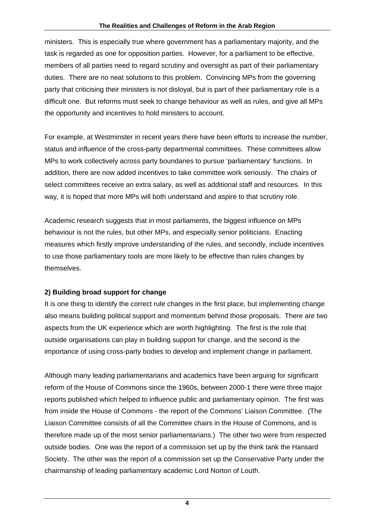ministers. This is especially true where government has a parliamentary majority, and the task is regarded as one for opposition parties. However, for a parliament to be effective, members of all parties need to regard scrutiny and oversight as part of their parliamentary duties. There are no neat solutions to this problem. Convincing MPs from the governing party that criticising their ministers is not disloyal, but is part of their parliamentary role is a difficult one. But reforms must seek to change behaviour as well as rules, and give all MPs the opportunity and incentives to hold ministers to account.

For example, at Westminster in recent years there have been efforts to increase the number, status and influence of the cross-party departmental committees. These committees allow MPs to work collectively across party boundaries to pursue 'parliamentary' functions. In addition, there are now added incentives to take committee work seriously. The chairs of select committees receive an extra salary, as well as additional staff and resources. In this way, it is hoped that more MPs will both understand and aspire to that scrutiny role.

Academic research suggests that in most parliaments, the biggest influence on MPs behaviour is not the rules, but other MPs, and especially senior politicians. Enacting measures which firstly improve understanding of the rules, and secondly, include incentives to use those parliamentary tools are more likely to be effective than rules changes by themselves.

## **2) Building broad support for change**

It is one thing to identify the correct rule changes in the first place, but implementing change also means building political support and momentum behind those proposals. There are two aspects from the UK experience which are worth highlighting. The first is the role that outside organisations can play in building support for change, and the second is the importance of using cross-party bodies to develop and implement change in parliament.

Although many leading parliamentarians and academics have been arguing for significant reform of the House of Commons since the 1960s, between 2000-1 there were three major reports published which helped to influence public and parliamentary opinion. The first was from inside the House of Commons - the report of the Commons' Liaison Committee. (The Liaison Committee consists of all the Committee chairs in the House of Commons, and is therefore made up of the most senior parliamentarians.) The other two were from respected outside bodies. One was the report of a commission set up by the think tank the Hansard Society. The other was the report of a commission set up the Conservative Party under the chairmanship of leading parliamentary academic Lord Norton of Louth.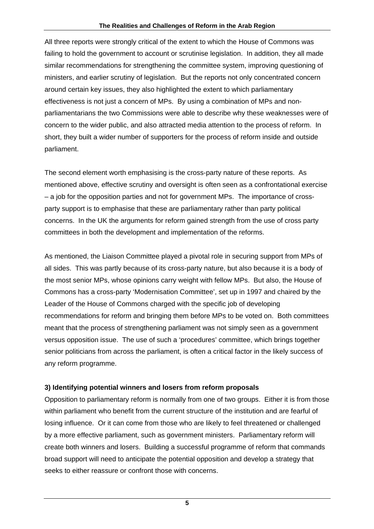All three reports were strongly critical of the extent to which the House of Commons was failing to hold the government to account or scrutinise legislation. In addition, they all made similar recommendations for strengthening the committee system, improving questioning of ministers, and earlier scrutiny of legislation. But the reports not only concentrated concern around certain key issues, they also highlighted the extent to which parliamentary effectiveness is not just a concern of MPs. By using a combination of MPs and nonparliamentarians the two Commissions were able to describe why these weaknesses were of concern to the wider public, and also attracted media attention to the process of reform. In short, they built a wider number of supporters for the process of reform inside and outside parliament.

The second element worth emphasising is the cross-party nature of these reports. As mentioned above, effective scrutiny and oversight is often seen as a confrontational exercise – a job for the opposition parties and not for government MPs. The importance of crossparty support is to emphasise that these are parliamentary rather than party political concerns. In the UK the arguments for reform gained strength from the use of cross party committees in both the development and implementation of the reforms.

As mentioned, the Liaison Committee played a pivotal role in securing support from MPs of all sides. This was partly because of its cross-party nature, but also because it is a body of the most senior MPs, whose opinions carry weight with fellow MPs. But also, the House of Commons has a cross-party 'Modernisation Committee', set up in 1997 and chaired by the Leader of the House of Commons charged with the specific job of developing recommendations for reform and bringing them before MPs to be voted on. Both committees meant that the process of strengthening parliament was not simply seen as a government versus opposition issue. The use of such a 'procedures' committee, which brings together senior politicians from across the parliament, is often a critical factor in the likely success of any reform programme.

## **3) Identifying potential winners and losers from reform proposals**

Opposition to parliamentary reform is normally from one of two groups. Either it is from those within parliament who benefit from the current structure of the institution and are fearful of losing influence. Or it can come from those who are likely to feel threatened or challenged by a more effective parliament, such as government ministers. Parliamentary reform will create both winners and losers. Building a successful programme of reform that commands broad support will need to anticipate the potential opposition and develop a strategy that seeks to either reassure or confront those with concerns.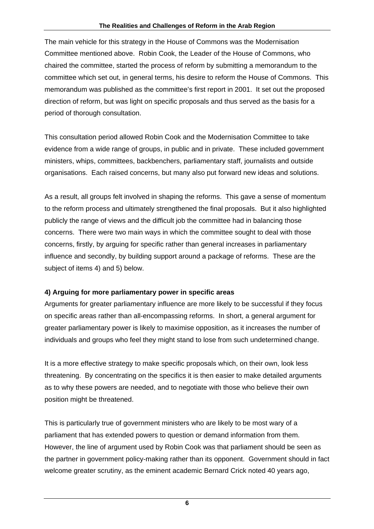The main vehicle for this strategy in the House of Commons was the Modernisation Committee mentioned above. Robin Cook, the Leader of the House of Commons, who chaired the committee, started the process of reform by submitting a memorandum to the committee which set out, in general terms, his desire to reform the House of Commons. This memorandum was published as the committee's first report in 2001. It set out the proposed direction of reform, but was light on specific proposals and thus served as the basis for a period of thorough consultation.

This consultation period allowed Robin Cook and the Modernisation Committee to take evidence from a wide range of groups, in public and in private. These included government ministers, whips, committees, backbenchers, parliamentary staff, journalists and outside organisations. Each raised concerns, but many also put forward new ideas and solutions.

As a result, all groups felt involved in shaping the reforms. This gave a sense of momentum to the reform process and ultimately strengthened the final proposals. But it also highlighted publicly the range of views and the difficult job the committee had in balancing those concerns. There were two main ways in which the committee sought to deal with those concerns, firstly, by arguing for specific rather than general increases in parliamentary influence and secondly, by building support around a package of reforms. These are the subject of items 4) and 5) below.

## **4) Arguing for more parliamentary power in specific areas**

Arguments for greater parliamentary influence are more likely to be successful if they focus on specific areas rather than all-encompassing reforms. In short, a general argument for greater parliamentary power is likely to maximise opposition, as it increases the number of individuals and groups who feel they might stand to lose from such undetermined change.

It is a more effective strategy to make specific proposals which, on their own, look less threatening. By concentrating on the specifics it is then easier to make detailed arguments as to why these powers are needed, and to negotiate with those who believe their own position might be threatened.

This is particularly true of government ministers who are likely to be most wary of a parliament that has extended powers to question or demand information from them. However, the line of argument used by Robin Cook was that parliament should be seen as the partner in government policy-making rather than its opponent. Government should in fact welcome greater scrutiny, as the eminent academic Bernard Crick noted 40 years ago,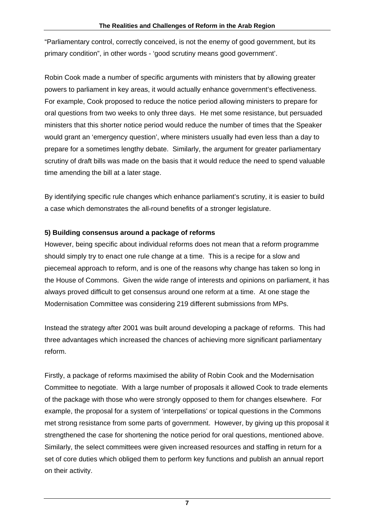"Parliamentary control, correctly conceived, is not the enemy of good government, but its primary condition", in other words - 'good scrutiny means good government'.

Robin Cook made a number of specific arguments with ministers that by allowing greater powers to parliament in key areas, it would actually enhance government's effectiveness. For example, Cook proposed to reduce the notice period allowing ministers to prepare for oral questions from two weeks to only three days. He met some resistance, but persuaded ministers that this shorter notice period would reduce the number of times that the Speaker would grant an 'emergency question', where ministers usually had even less than a day to prepare for a sometimes lengthy debate. Similarly, the argument for greater parliamentary scrutiny of draft bills was made on the basis that it would reduce the need to spend valuable time amending the bill at a later stage.

By identifying specific rule changes which enhance parliament's scrutiny, it is easier to build a case which demonstrates the all-round benefits of a stronger legislature.

### **5) Building consensus around a package of reforms**

However, being specific about individual reforms does not mean that a reform programme should simply try to enact one rule change at a time. This is a recipe for a slow and piecemeal approach to reform, and is one of the reasons why change has taken so long in the House of Commons. Given the wide range of interests and opinions on parliament, it has always proved difficult to get consensus around one reform at a time. At one stage the Modernisation Committee was considering 219 different submissions from MPs.

Instead the strategy after 2001 was built around developing a package of reforms. This had three advantages which increased the chances of achieving more significant parliamentary reform.

Firstly, a package of reforms maximised the ability of Robin Cook and the Modernisation Committee to negotiate. With a large number of proposals it allowed Cook to trade elements of the package with those who were strongly opposed to them for changes elsewhere. For example, the proposal for a system of 'interpellations' or topical questions in the Commons met strong resistance from some parts of government. However, by giving up this proposal it strengthened the case for shortening the notice period for oral questions, mentioned above. Similarly, the select committees were given increased resources and staffing in return for a set of core duties which obliged them to perform key functions and publish an annual report on their activity.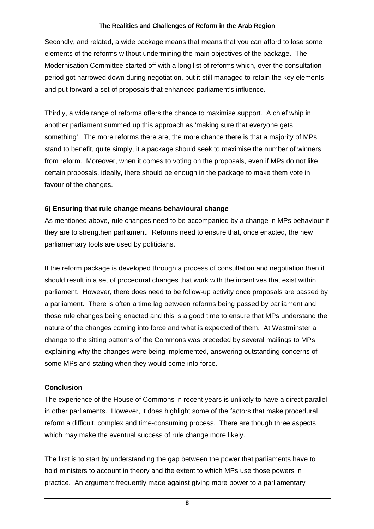Secondly, and related, a wide package means that means that you can afford to lose some elements of the reforms without undermining the main objectives of the package. The Modernisation Committee started off with a long list of reforms which, over the consultation period got narrowed down during negotiation, but it still managed to retain the key elements and put forward a set of proposals that enhanced parliament's influence.

Thirdly, a wide range of reforms offers the chance to maximise support. A chief whip in another parliament summed up this approach as 'making sure that everyone gets something'. The more reforms there are, the more chance there is that a majority of MPs stand to benefit, quite simply, it a package should seek to maximise the number of winners from reform. Moreover, when it comes to voting on the proposals, even if MPs do not like certain proposals, ideally, there should be enough in the package to make them vote in favour of the changes.

### **6) Ensuring that rule change means behavioural change**

As mentioned above, rule changes need to be accompanied by a change in MPs behaviour if they are to strengthen parliament. Reforms need to ensure that, once enacted, the new parliamentary tools are used by politicians.

If the reform package is developed through a process of consultation and negotiation then it should result in a set of procedural changes that work with the incentives that exist within parliament. However, there does need to be follow-up activity once proposals are passed by a parliament. There is often a time lag between reforms being passed by parliament and those rule changes being enacted and this is a good time to ensure that MPs understand the nature of the changes coming into force and what is expected of them. At Westminster a change to the sitting patterns of the Commons was preceded by several mailings to MPs explaining why the changes were being implemented, answering outstanding concerns of some MPs and stating when they would come into force.

## **Conclusion**

The experience of the House of Commons in recent years is unlikely to have a direct parallel in other parliaments. However, it does highlight some of the factors that make procedural reform a difficult, complex and time-consuming process. There are though three aspects which may make the eventual success of rule change more likely.

The first is to start by understanding the gap between the power that parliaments have to hold ministers to account in theory and the extent to which MPs use those powers in practice. An argument frequently made against giving more power to a parliamentary